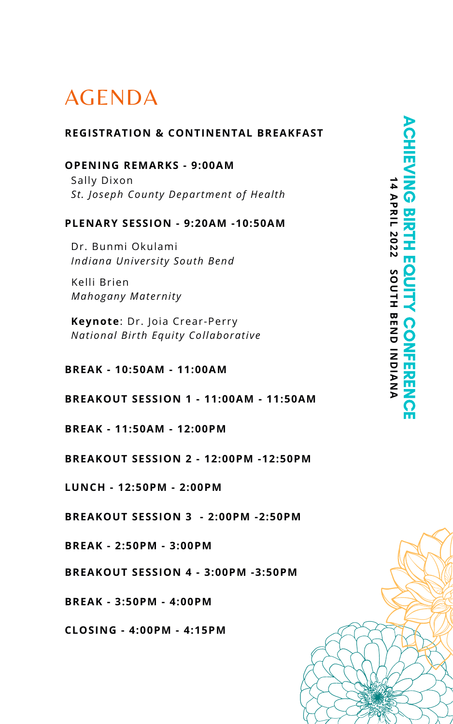# AGENDA

#### **REGISTRATION & CONTINENTAL BREAKFAST**

## **OPENING REMARKS - 9:00AM**

Sally Dixon *St. Joseph County Department of Health*

### **PLENARY SESSION - 9:20AM -10:50AM**

Dr. Bunmi Okulami *Indiana University South Bend*

Kelli Brien *Mahogany Maternity*

**Keynote**: Dr. Joia Crear-Perry *National Birth Equity Collaborative*

#### **BREAK - 10:50AM - 11:00AM**

**BREAKOUT SESSION 1 - 11:00AM - 11:50AM**

#### **BREAK - 11:50AM - 12:00PM**

**BREAKOUT SESSION 2 - 12:00PM -12:50PM**

**LUNCH - 12:50PM - 2:00PM**

**BREAKOUT SESSION 3 - 2:00PM -2:50PM**

**BREAK - 2:50PM - 3:00PM**

**BREAKOUT SESSION 4 - 3:00PM -3:50PM**

**BREAK - 3:50PM - 4:00PM**

**CLOSING - 4:00PM - 4:15PM**